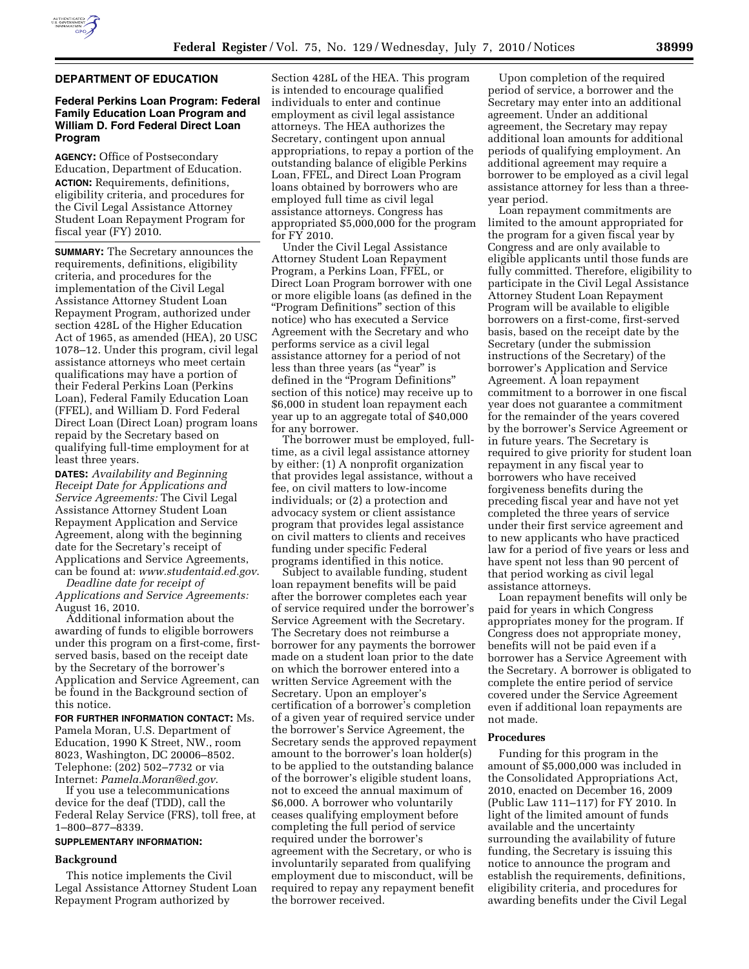

### **DEPARTMENT OF EDUCATION**

# **Federal Perkins Loan Program: Federal Family Education Loan Program and William D. Ford Federal Direct Loan Program**

**AGENCY:** Office of Postsecondary Education, Department of Education. **ACTION:** Requirements, definitions, eligibility criteria, and procedures for the Civil Legal Assistance Attorney Student Loan Repayment Program for fiscal year (FY) 2010.

**SUMMARY:** The Secretary announces the requirements, definitions, eligibility criteria, and procedures for the implementation of the Civil Legal Assistance Attorney Student Loan Repayment Program, authorized under section 428L of the Higher Education Act of 1965, as amended (HEA), 20 USC 1078–12. Under this program, civil legal assistance attorneys who meet certain qualifications may have a portion of their Federal Perkins Loan (Perkins Loan), Federal Family Education Loan (FFEL), and William D. Ford Federal Direct Loan (Direct Loan) program loans repaid by the Secretary based on qualifying full-time employment for at least three years.

**DATES:** *Availability and Beginning Receipt Date for Applications and Service Agreements:* The Civil Legal Assistance Attorney Student Loan Repayment Application and Service Agreement, along with the beginning date for the Secretary's receipt of Applications and Service Agreements, can be found at: *www.studentaid.ed.gov*.

*Deadline date for receipt of Applications and Service Agreements:*  August 16, 2010.

Additional information about the awarding of funds to eligible borrowers under this program on a first-come, firstserved basis, based on the receipt date by the Secretary of the borrower's Application and Service Agreement, can be found in the Background section of this notice.

**FOR FURTHER INFORMATION CONTACT:** Ms. Pamela Moran, U.S. Department of Education, 1990 K Street, NW., room 8023, Washington, DC 20006–8502. Telephone: (202) 502–7732 or via Internet: *Pamela.Moran@ed.gov*.

If you use a telecommunications device for the deaf (TDD), call the Federal Relay Service (FRS), toll free, at 1–800–877–8339.

# **SUPPLEMENTARY INFORMATION:**

# **Background**

This notice implements the Civil Legal Assistance Attorney Student Loan Repayment Program authorized by

Section 428L of the HEA. This program is intended to encourage qualified individuals to enter and continue employment as civil legal assistance attorneys. The HEA authorizes the Secretary, contingent upon annual appropriations, to repay a portion of the outstanding balance of eligible Perkins Loan, FFEL, and Direct Loan Program loans obtained by borrowers who are employed full time as civil legal assistance attorneys. Congress has appropriated \$5,000,000 for the program for FY 2010.

Under the Civil Legal Assistance Attorney Student Loan Repayment Program, a Perkins Loan, FFEL, or Direct Loan Program borrower with one or more eligible loans (as defined in the ''Program Definitions'' section of this notice) who has executed a Service Agreement with the Secretary and who performs service as a civil legal assistance attorney for a period of not less than three years (as "year" is defined in the "Program Definitions" section of this notice) may receive up to \$6,000 in student loan repayment each year up to an aggregate total of \$40,000 for any borrower.

The borrower must be employed, fulltime, as a civil legal assistance attorney by either: (1) A nonprofit organization that provides legal assistance, without a fee, on civil matters to low-income individuals; or (2) a protection and advocacy system or client assistance program that provides legal assistance on civil matters to clients and receives funding under specific Federal programs identified in this notice.

Subject to available funding, student loan repayment benefits will be paid after the borrower completes each year of service required under the borrower's Service Agreement with the Secretary. The Secretary does not reimburse a borrower for any payments the borrower made on a student loan prior to the date on which the borrower entered into a written Service Agreement with the Secretary. Upon an employer's certification of a borrower's completion of a given year of required service under the borrower's Service Agreement, the Secretary sends the approved repayment amount to the borrower's loan holder(s) to be applied to the outstanding balance of the borrower's eligible student loans, not to exceed the annual maximum of \$6,000. A borrower who voluntarily ceases qualifying employment before completing the full period of service required under the borrower's agreement with the Secretary, or who is involuntarily separated from qualifying employment due to misconduct, will be required to repay any repayment benefit the borrower received.

Upon completion of the required period of service, a borrower and the Secretary may enter into an additional agreement. Under an additional agreement, the Secretary may repay additional loan amounts for additional periods of qualifying employment. An additional agreement may require a borrower to be employed as a civil legal assistance attorney for less than a threeyear period.

Loan repayment commitments are limited to the amount appropriated for the program for a given fiscal year by Congress and are only available to eligible applicants until those funds are fully committed. Therefore, eligibility to participate in the Civil Legal Assistance Attorney Student Loan Repayment Program will be available to eligible borrowers on a first-come, first-served basis, based on the receipt date by the Secretary (under the submission instructions of the Secretary) of the borrower's Application and Service Agreement. A loan repayment commitment to a borrower in one fiscal year does not guarantee a commitment for the remainder of the years covered by the borrower's Service Agreement or in future years. The Secretary is required to give priority for student loan repayment in any fiscal year to borrowers who have received forgiveness benefits during the preceding fiscal year and have not yet completed the three years of service under their first service agreement and to new applicants who have practiced law for a period of five years or less and have spent not less than 90 percent of that period working as civil legal assistance attorneys.

Loan repayment benefits will only be paid for years in which Congress appropriates money for the program. If Congress does not appropriate money, benefits will not be paid even if a borrower has a Service Agreement with the Secretary. A borrower is obligated to complete the entire period of service covered under the Service Agreement even if additional loan repayments are not made.

#### **Procedures**

Funding for this program in the amount of \$5,000,000 was included in the Consolidated Appropriations Act, 2010, enacted on December 16, 2009 (Public Law 111–117) for FY 2010. In light of the limited amount of funds available and the uncertainty surrounding the availability of future funding, the Secretary is issuing this notice to announce the program and establish the requirements, definitions, eligibility criteria, and procedures for awarding benefits under the Civil Legal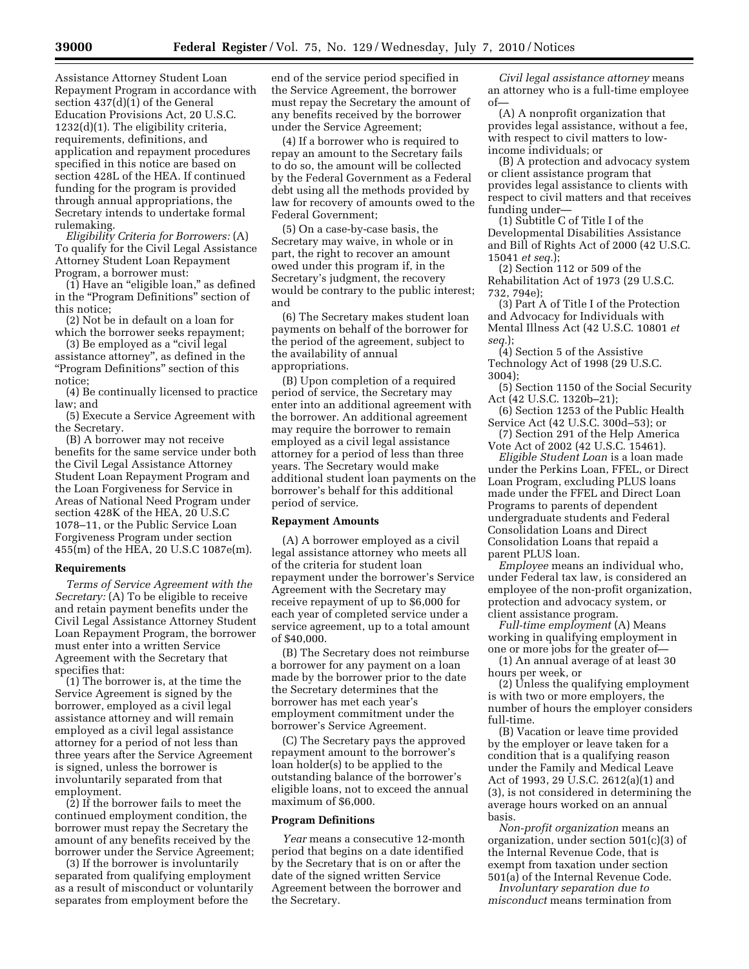Assistance Attorney Student Loan Repayment Program in accordance with section 437(d)(1) of the General Education Provisions Act, 20 U.S.C. 1232(d)(1). The eligibility criteria, requirements, definitions, and application and repayment procedures specified in this notice are based on section 428L of the HEA. If continued funding for the program is provided through annual appropriations, the Secretary intends to undertake formal rulemaking.

*Eligibility Criteria for Borrowers:* (A) To qualify for the Civil Legal Assistance Attorney Student Loan Repayment Program, a borrower must:

(1) Have an "eligible loan," as defined in the "Program Definitions" section of this notice;

(2) Not be in default on a loan for which the borrower seeks repayment;

(3) Be employed as a ''civil legal assistance attorney'', as defined in the ''Program Definitions'' section of this notice;

(4) Be continually licensed to practice law; and

(5) Execute a Service Agreement with the Secretary.

(B) A borrower may not receive benefits for the same service under both the Civil Legal Assistance Attorney Student Loan Repayment Program and the Loan Forgiveness for Service in Areas of National Need Program under section 428K of the HEA, 20 U.S.C 1078–11, or the Public Service Loan Forgiveness Program under section 455(m) of the HEA, 20 U.S.C 1087e(m).

### **Requirements**

*Terms of Service Agreement with the Secretary:* (A) To be eligible to receive and retain payment benefits under the Civil Legal Assistance Attorney Student Loan Repayment Program, the borrower must enter into a written Service Agreement with the Secretary that specifies that:

(1) The borrower is, at the time the Service Agreement is signed by the borrower, employed as a civil legal assistance attorney and will remain employed as a civil legal assistance attorney for a period of not less than three years after the Service Agreement is signed, unless the borrower is involuntarily separated from that employment.

(2) If the borrower fails to meet the continued employment condition, the borrower must repay the Secretary the amount of any benefits received by the borrower under the Service Agreement;

(3) If the borrower is involuntarily separated from qualifying employment as a result of misconduct or voluntarily separates from employment before the

end of the service period specified in the Service Agreement, the borrower must repay the Secretary the amount of any benefits received by the borrower under the Service Agreement;

(4) If a borrower who is required to repay an amount to the Secretary fails to do so, the amount will be collected by the Federal Government as a Federal debt using all the methods provided by law for recovery of amounts owed to the Federal Government;

(5) On a case-by-case basis, the Secretary may waive, in whole or in part, the right to recover an amount owed under this program if, in the Secretary's judgment, the recovery would be contrary to the public interest; and

(6) The Secretary makes student loan payments on behalf of the borrower for the period of the agreement, subject to the availability of annual appropriations.

(B) Upon completion of a required period of service, the Secretary may enter into an additional agreement with the borrower. An additional agreement may require the borrower to remain employed as a civil legal assistance attorney for a period of less than three years. The Secretary would make additional student loan payments on the borrower's behalf for this additional period of service.

#### **Repayment Amounts**

(A) A borrower employed as a civil legal assistance attorney who meets all of the criteria for student loan repayment under the borrower's Service Agreement with the Secretary may receive repayment of up to \$6,000 for each year of completed service under a service agreement, up to a total amount of \$40,000.

(B) The Secretary does not reimburse a borrower for any payment on a loan made by the borrower prior to the date the Secretary determines that the borrower has met each year's employment commitment under the borrower's Service Agreement.

(C) The Secretary pays the approved repayment amount to the borrower's loan holder(s) to be applied to the outstanding balance of the borrower's eligible loans, not to exceed the annual maximum of \$6,000.

### **Program Definitions**

*Year* means a consecutive 12-month period that begins on a date identified by the Secretary that is on or after the date of the signed written Service Agreement between the borrower and the Secretary.

*Civil legal assistance attorney* means an attorney who is a full-time employee of—

(A) A nonprofit organization that provides legal assistance, without a fee, with respect to civil matters to lowincome individuals; or

(B) A protection and advocacy system or client assistance program that provides legal assistance to clients with respect to civil matters and that receives funding under—

(1) Subtitle C of Title I of the Developmental Disabilities Assistance and Bill of Rights Act of 2000 (42 U.S.C. 15041 *et seq.*);

(2) Section 112 or 509 of the Rehabilitation Act of 1973 (29 U.S.C. 732, 794e);

(3) Part A of Title I of the Protection and Advocacy for Individuals with Mental Illness Act (42 U.S.C. 10801 *et seq.*);

(4) Section 5 of the Assistive Technology Act of 1998 (29 U.S.C. 3004);

(5) Section 1150 of the Social Security Act (42 U.S.C. 1320b–21);

(6) Section 1253 of the Public Health Service Act (42 U.S.C. 300d–53); or

(7) Section 291 of the Help America Vote Act of 2002 (42 U.S.C. 15461).

*Eligible Student Loan* is a loan made under the Perkins Loan, FFEL, or Direct Loan Program, excluding PLUS loans made under the FFEL and Direct Loan Programs to parents of dependent undergraduate students and Federal Consolidation Loans and Direct Consolidation Loans that repaid a parent PLUS loan.

*Employee* means an individual who, under Federal tax law, is considered an employee of the non-profit organization, protection and advocacy system, or client assistance program.

*Full-time employment* (A) Means working in qualifying employment in one or more jobs for the greater of—

(1) An annual average of at least 30 hours per week, or

(2) Unless the qualifying employment is with two or more employers, the number of hours the employer considers full-time.

(B) Vacation or leave time provided by the employer or leave taken for a condition that is a qualifying reason under the Family and Medical Leave Act of 1993, 29 U.S.C. 2612(a)(1) and (3), is not considered in determining the average hours worked on an annual basis.

*Non-profit organization* means an organization, under section 501(c)(3) of the Internal Revenue Code, that is exempt from taxation under section 501(a) of the Internal Revenue Code.

*Involuntary separation due to misconduct* means termination from